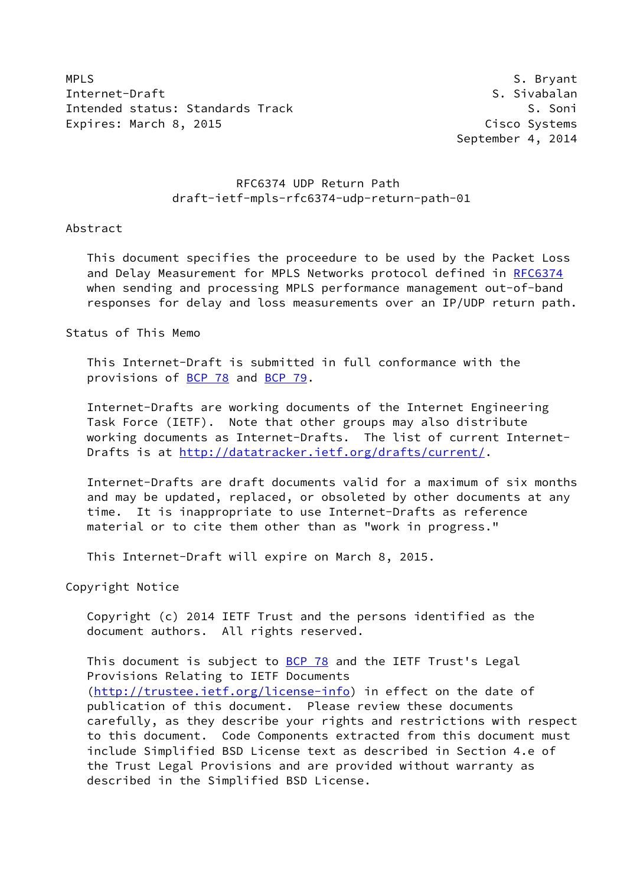MPLS S. Bryant Internet-Draft S. Sivabalan Intended status: Standards Track S. Soni Expires: March 8, 2015 **Cisco Systems** 

September 4, 2014

# RFC6374 UDP Return Path draft-ietf-mpls-rfc6374-udp-return-path-01

### Abstract

 This document specifies the proceedure to be used by the Packet Loss and Delay Measurement for MPLS Networks protocol defined in [RFC6374](https://datatracker.ietf.org/doc/pdf/rfc6374) when sending and processing MPLS performance management out-of-band responses for delay and loss measurements over an IP/UDP return path.

Status of This Memo

 This Internet-Draft is submitted in full conformance with the provisions of [BCP 78](https://datatracker.ietf.org/doc/pdf/bcp78) and [BCP 79](https://datatracker.ietf.org/doc/pdf/bcp79).

 Internet-Drafts are working documents of the Internet Engineering Task Force (IETF). Note that other groups may also distribute working documents as Internet-Drafts. The list of current Internet- Drafts is at<http://datatracker.ietf.org/drafts/current/>.

 Internet-Drafts are draft documents valid for a maximum of six months and may be updated, replaced, or obsoleted by other documents at any time. It is inappropriate to use Internet-Drafts as reference material or to cite them other than as "work in progress."

This Internet-Draft will expire on March 8, 2015.

Copyright Notice

 Copyright (c) 2014 IETF Trust and the persons identified as the document authors. All rights reserved.

This document is subject to **[BCP 78](https://datatracker.ietf.org/doc/pdf/bcp78)** and the IETF Trust's Legal Provisions Relating to IETF Documents [\(http://trustee.ietf.org/license-info](http://trustee.ietf.org/license-info)) in effect on the date of publication of this document. Please review these documents carefully, as they describe your rights and restrictions with respect to this document. Code Components extracted from this document must include Simplified BSD License text as described in Section 4.e of the Trust Legal Provisions and are provided without warranty as described in the Simplified BSD License.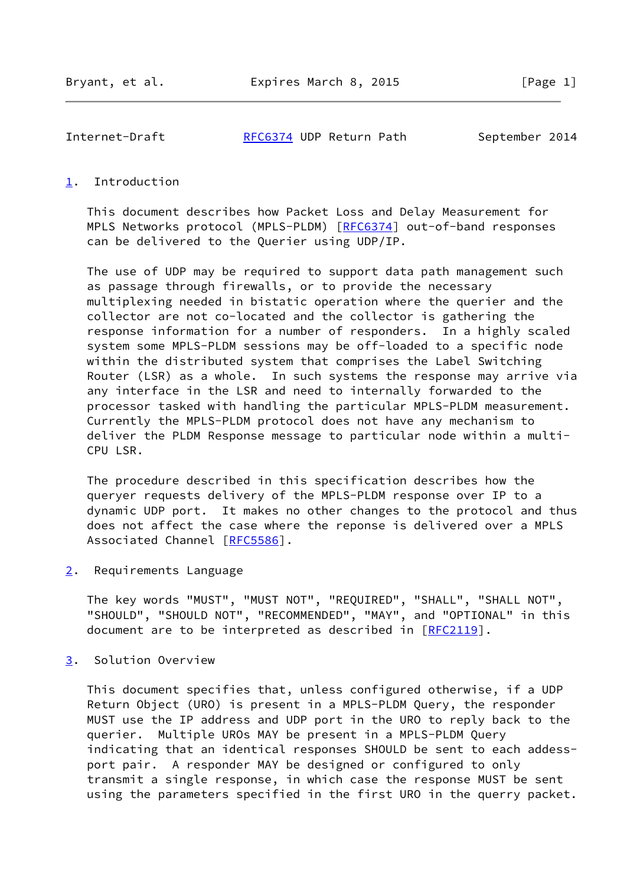Internet-Draft [RFC6374](https://datatracker.ietf.org/doc/pdf/rfc6374) UDP Return Path September 2014

## <span id="page-1-0"></span>[1](#page-1-0). Introduction

 This document describes how Packet Loss and Delay Measurement for MPLS Networks protocol (MPLS-PLDM) [[RFC6374\]](https://datatracker.ietf.org/doc/pdf/rfc6374) out-of-band responses can be delivered to the Querier using UDP/IP.

 The use of UDP may be required to support data path management such as passage through firewalls, or to provide the necessary multiplexing needed in bistatic operation where the querier and the collector are not co-located and the collector is gathering the response information for a number of responders. In a highly scaled system some MPLS-PLDM sessions may be off-loaded to a specific node within the distributed system that comprises the Label Switching Router (LSR) as a whole. In such systems the response may arrive via any interface in the LSR and need to internally forwarded to the processor tasked with handling the particular MPLS-PLDM measurement. Currently the MPLS-PLDM protocol does not have any mechanism to deliver the PLDM Response message to particular node within a multi- CPU LSR.

 The procedure described in this specification describes how the queryer requests delivery of the MPLS-PLDM response over IP to a dynamic UDP port. It makes no other changes to the protocol and thus does not affect the case where the reponse is delivered over a MPLS Associated Channel [[RFC5586\]](https://datatracker.ietf.org/doc/pdf/rfc5586).

<span id="page-1-1"></span>[2](#page-1-1). Requirements Language

 The key words "MUST", "MUST NOT", "REQUIRED", "SHALL", "SHALL NOT", "SHOULD", "SHOULD NOT", "RECOMMENDED", "MAY", and "OPTIONAL" in this document are to be interpreted as described in [\[RFC2119](https://datatracker.ietf.org/doc/pdf/rfc2119)].

<span id="page-1-2"></span>[3](#page-1-2). Solution Overview

 This document specifies that, unless configured otherwise, if a UDP Return Object (URO) is present in a MPLS-PLDM Query, the responder MUST use the IP address and UDP port in the URO to reply back to the querier. Multiple UROs MAY be present in a MPLS-PLDM Query indicating that an identical responses SHOULD be sent to each addess port pair. A responder MAY be designed or configured to only transmit a single response, in which case the response MUST be sent using the parameters specified in the first URO in the querry packet.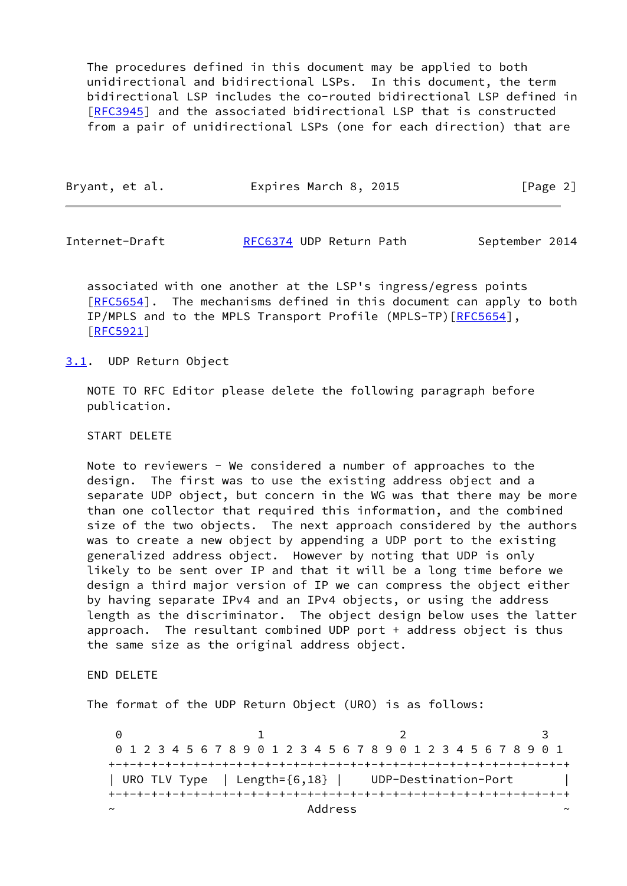The procedures defined in this document may be applied to both unidirectional and bidirectional LSPs. In this document, the term bidirectional LSP includes the co-routed bidirectional LSP defined in [\[RFC3945](https://datatracker.ietf.org/doc/pdf/rfc3945)] and the associated bidirectional LSP that is constructed from a pair of unidirectional LSPs (one for each direction) that are

| Bryant, et al. | Expires March 8, 2015 | [Page 2] |
|----------------|-----------------------|----------|
|                |                       |          |

Internet-Draft [RFC6374](https://datatracker.ietf.org/doc/pdf/rfc6374) UDP Return Path September 2014

 associated with one another at the LSP's ingress/egress points [\[RFC5654](https://datatracker.ietf.org/doc/pdf/rfc5654)]. The mechanisms defined in this document can apply to both IP/MPLS and to the MPLS Transport Profile (MPLS-TP) [[RFC5654\]](https://datatracker.ietf.org/doc/pdf/rfc5654), [\[RFC5921](https://datatracker.ietf.org/doc/pdf/rfc5921)]

## <span id="page-2-0"></span>[3.1](#page-2-0). UDP Return Object

 NOTE TO RFC Editor please delete the following paragraph before publication.

#### START DELETE

 Note to reviewers - We considered a number of approaches to the design. The first was to use the existing address object and a separate UDP object, but concern in the WG was that there may be more than one collector that required this information, and the combined size of the two objects. The next approach considered by the authors was to create a new object by appending a UDP port to the existing generalized address object. However by noting that UDP is only likely to be sent over IP and that it will be a long time before we design a third major version of IP we can compress the object either by having separate IPv4 and an IPv4 objects, or using the address length as the discriminator. The object design below uses the latter approach. The resultant combined UDP port + address object is thus the same size as the original address object.

END DELETE

The format of the UDP Return Object (URO) is as follows:

0 1 2 3 0 1 2 3 4 5 6 7 8 9 0 1 2 3 4 5 6 7 8 9 0 1 2 3 4 5 6 7 8 9 0 1 +-+-+-+-+-+-+-+-+-+-+-+-+-+-+-+-+-+-+-+-+-+-+-+-+-+-+-+-+-+-+-+-+ | URO TLV Type | Length={6,18} | UDP-Destination-Port | +-+-+-+-+-+-+-+-+-+-+-+-+-+-+-+-+-+-+-+-+-+-+-+-+-+-+-+-+-+-+-+-+ ~ Address ~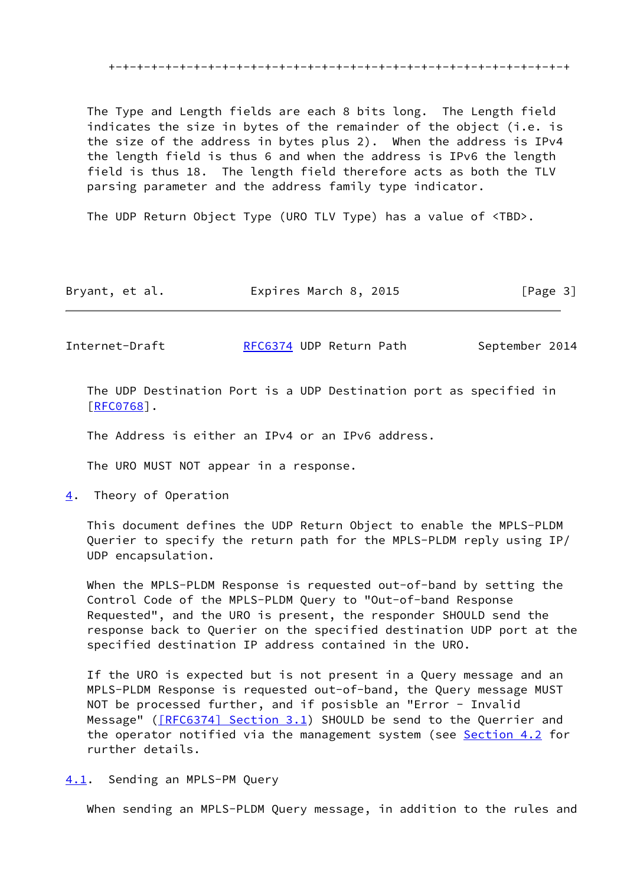The Type and Length fields are each 8 bits long. The Length field indicates the size in bytes of the remainder of the object (i.e. is the size of the address in bytes plus 2). When the address is IPv4 the length field is thus 6 and when the address is IPv6 the length field is thus 18. The length field therefore acts as both the TLV parsing parameter and the address family type indicator.

The UDP Return Object Type (URO TLV Type) has a value of <TBD>.

| Bryant, et al. | Expires March 8, 2015 | [Page 3] |
|----------------|-----------------------|----------|
|----------------|-----------------------|----------|

Internet-Draft [RFC6374](https://datatracker.ietf.org/doc/pdf/rfc6374) UDP Return Path September 2014

 The UDP Destination Port is a UDP Destination port as specified in [\[RFC0768](https://datatracker.ietf.org/doc/pdf/rfc0768)].

The Address is either an IPv4 or an IPv6 address.

The URO MUST NOT appear in a response.

<span id="page-3-0"></span>[4](#page-3-0). Theory of Operation

 This document defines the UDP Return Object to enable the MPLS-PLDM Querier to specify the return path for the MPLS-PLDM reply using IP/ UDP encapsulation.

 When the MPLS-PLDM Response is requested out-of-band by setting the Control Code of the MPLS-PLDM Query to "Out-of-band Response Requested", and the URO is present, the responder SHOULD send the response back to Querier on the specified destination UDP port at the specified destination IP address contained in the URO.

 If the URO is expected but is not present in a Query message and an MPLS-PLDM Response is requested out-of-band, the Query message MUST NOT be processed further, and if posisble an "Error - Invalid Message" ( $[REC6374]$  Section 3.1) SHOULD be send to the Querrier and the operator notified via the management system (see [Section 4.2](#page-4-0) for rurther details.

<span id="page-3-1"></span>[4.1](#page-3-1). Sending an MPLS-PM Query

When sending an MPLS-PLDM Query message, in addition to the rules and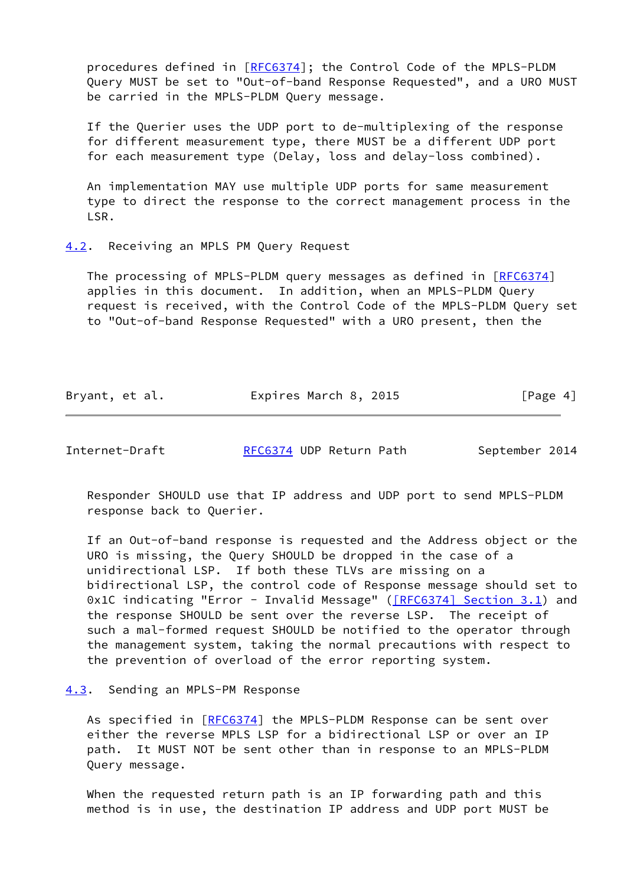procedures defined in [[RFC6374](https://datatracker.ietf.org/doc/pdf/rfc6374)]; the Control Code of the MPLS-PLDM Query MUST be set to "Out-of-band Response Requested", and a URO MUST be carried in the MPLS-PLDM Query message.

 If the Querier uses the UDP port to de-multiplexing of the response for different measurement type, there MUST be a different UDP port for each measurement type (Delay, loss and delay-loss combined).

 An implementation MAY use multiple UDP ports for same measurement type to direct the response to the correct management process in the LSR.

## <span id="page-4-0"></span>[4.2](#page-4-0). Receiving an MPLS PM Query Request

The processing of MPLS-PLDM query messages as defined in [\[RFC6374](https://datatracker.ietf.org/doc/pdf/rfc6374)] applies in this document. In addition, when an MPLS-PLDM Query request is received, with the Control Code of the MPLS-PLDM Query set to "Out-of-band Response Requested" with a URO present, then the

| Bryant, et al. | Expires March 8, 2015 | [Page 4] |
|----------------|-----------------------|----------|
|----------------|-----------------------|----------|

Internet-Draft [RFC6374](https://datatracker.ietf.org/doc/pdf/rfc6374) UDP Return Path September 2014

 Responder SHOULD use that IP address and UDP port to send MPLS-PLDM response back to Querier.

 If an Out-of-band response is requested and the Address object or the URO is missing, the Query SHOULD be dropped in the case of a unidirectional LSP. If both these TLVs are missing on a bidirectional LSP, the control code of Response message should set to 0x1C indicating "Error - Invalid Message" ( $[REC6374]$  Section 3.1) and the response SHOULD be sent over the reverse LSP. The receipt of such a mal-formed request SHOULD be notified to the operator through the management system, taking the normal precautions with respect to the prevention of overload of the error reporting system.

## <span id="page-4-1"></span>[4.3](#page-4-1). Sending an MPLS-PM Response

As specified in [\[RFC6374](https://datatracker.ietf.org/doc/pdf/rfc6374)] the MPLS-PLDM Response can be sent over either the reverse MPLS LSP for a bidirectional LSP or over an IP path. It MUST NOT be sent other than in response to an MPLS-PLDM Query message.

 When the requested return path is an IP forwarding path and this method is in use, the destination IP address and UDP port MUST be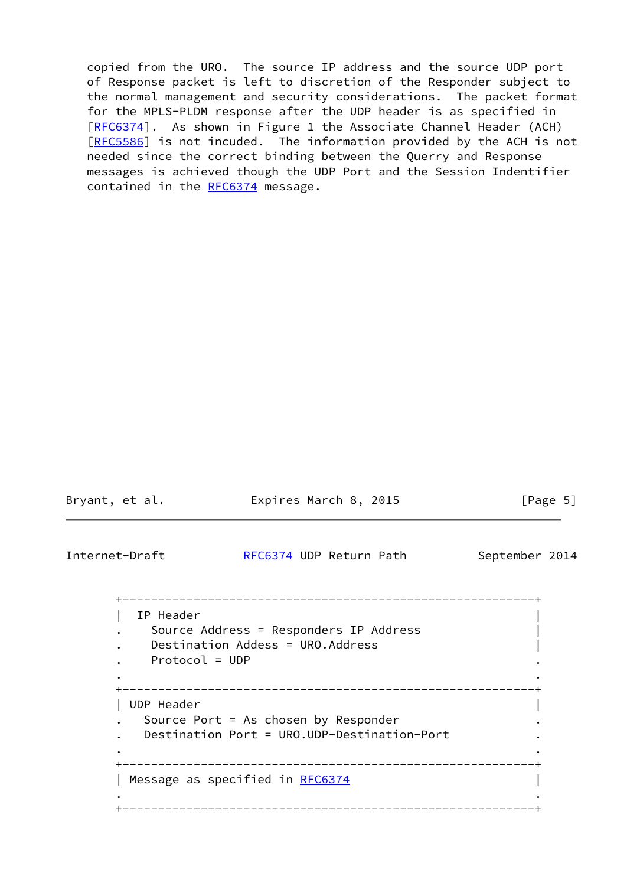copied from the URO. The source IP address and the source UDP port of Response packet is left to discretion of the Responder subject to the normal management and security considerations. The packet format for the MPLS-PLDM response after the UDP header is as specified in [\[RFC6374](https://datatracker.ietf.org/doc/pdf/rfc6374)]. As shown in Figure 1 the Associate Channel Header (ACH) [\[RFC5586](https://datatracker.ietf.org/doc/pdf/rfc5586)] is not incuded. The information provided by the ACH is not needed since the correct binding between the Querry and Response messages is achieved though the UDP Port and the Session Indentifier contained in the [RFC6374](https://datatracker.ietf.org/doc/pdf/rfc6374) message.

Bryant, et al. **Expires March 8, 2015** [Page 5]

Internet-Draft [RFC6374](https://datatracker.ietf.org/doc/pdf/rfc6374) UDP Return Path September 2014

 +----------------------------------------------------------+ | IP Header | . Source Address = Responders IP Address | Destination Addess = URO.Address . Protocol = UDP . . . +----------------------------------------------------------+ | UDP Header | Source Port = As chosen by Responder . Destination Port = URO.UDP-Destination-Port . . . +----------------------------------------------------------+ | Message as specified in [RFC6374](https://datatracker.ietf.org/doc/pdf/rfc6374) . . +----------------------------------------------------------+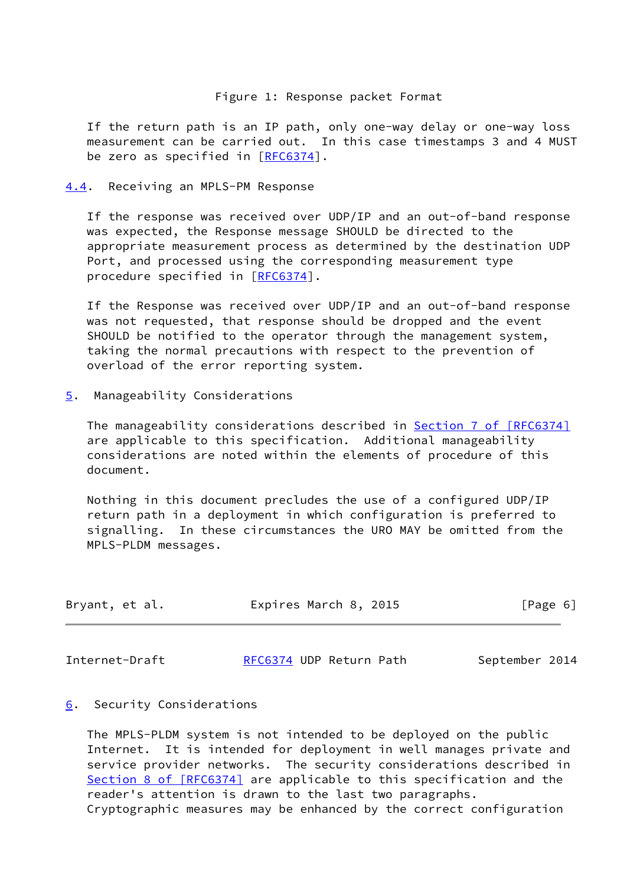## Figure 1: Response packet Format

 If the return path is an IP path, only one-way delay or one-way loss measurement can be carried out. In this case timestamps 3 and 4 MUST be zero as specified in [\[RFC6374](https://datatracker.ietf.org/doc/pdf/rfc6374)].

<span id="page-6-0"></span>[4.4](#page-6-0). Receiving an MPLS-PM Response

 If the response was received over UDP/IP and an out-of-band response was expected, the Response message SHOULD be directed to the appropriate measurement process as determined by the destination UDP Port, and processed using the corresponding measurement type procedure specified in [\[RFC6374](https://datatracker.ietf.org/doc/pdf/rfc6374)].

 If the Response was received over UDP/IP and an out-of-band response was not requested, that response should be dropped and the event SHOULD be notified to the operator through the management system, taking the normal precautions with respect to the prevention of overload of the error reporting system.

<span id="page-6-1"></span>[5](#page-6-1). Manageability Considerations

The manageability considerations described in **Section [7 of \[RFC6374\]](https://datatracker.ietf.org/doc/pdf/rfc6374#section-7)**  are applicable to this specification. Additional manageability considerations are noted within the elements of procedure of this document.

 Nothing in this document precludes the use of a configured UDP/IP return path in a deployment in which configuration is preferred to signalling. In these circumstances the URO MAY be omitted from the MPLS-PLDM messages.

| Bryant, et al. | Expires March 8, 2015 | [Page 6] |  |
|----------------|-----------------------|----------|--|
|                |                       |          |  |

Internet-Draft [RFC6374](https://datatracker.ietf.org/doc/pdf/rfc6374) UDP Return Path September 2014

<span id="page-6-2"></span>[6](#page-6-2). Security Considerations

 The MPLS-PLDM system is not intended to be deployed on the public Internet. It is intended for deployment in well manages private and service provider networks. The security considerations described in Section [8 of \[RFC6374\]](https://datatracker.ietf.org/doc/pdf/rfc6374#section-8) are applicable to this specification and the reader's attention is drawn to the last two paragraphs. Cryptographic measures may be enhanced by the correct configuration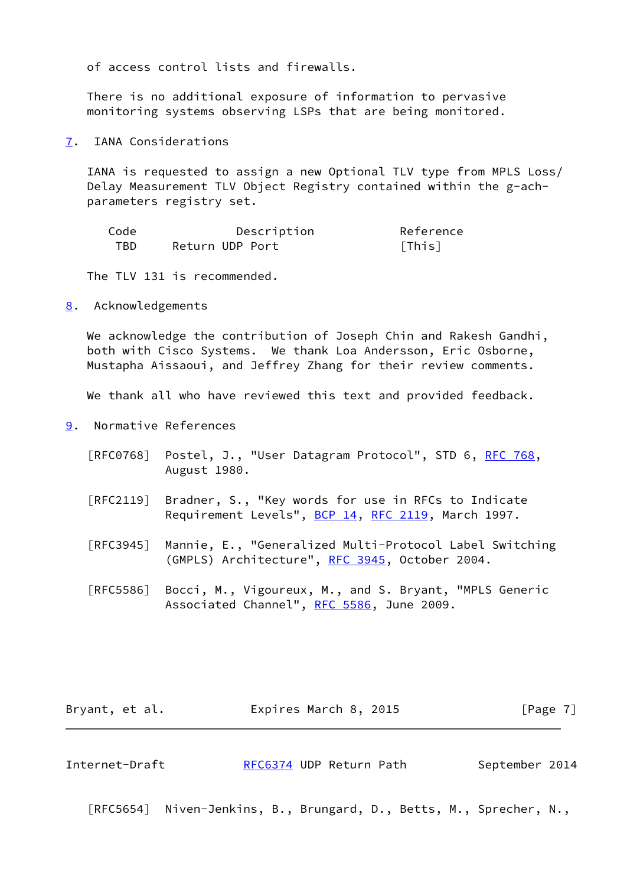of access control lists and firewalls.

 There is no additional exposure of information to pervasive monitoring systems observing LSPs that are being monitored.

<span id="page-7-0"></span>[7](#page-7-0). IANA Considerations

 IANA is requested to assign a new Optional TLV type from MPLS Loss/ Delay Measurement TLV Object Registry contained within the g-ach parameters registry set.

| Code | Description     | Reference |
|------|-----------------|-----------|
| TBD. | Return UDP Port | [This]    |

The TLV 131 is recommended.

<span id="page-7-1"></span>[8](#page-7-1). Acknowledgements

We acknowledge the contribution of Joseph Chin and Rakesh Gandhi, both with Cisco Systems. We thank Loa Andersson, Eric Osborne, Mustapha Aissaoui, and Jeffrey Zhang for their review comments.

We thank all who have reviewed this text and provided feedback.

- <span id="page-7-2"></span>[9](#page-7-2). Normative References
	- [RFC0768] Postel, J., "User Datagram Protocol", STD 6, [RFC 768](https://datatracker.ietf.org/doc/pdf/rfc768), August 1980.
	- [RFC2119] Bradner, S., "Key words for use in RFCs to Indicate Requirement Levels", [BCP 14](https://datatracker.ietf.org/doc/pdf/bcp14), [RFC 2119](https://datatracker.ietf.org/doc/pdf/rfc2119), March 1997.
	- [RFC3945] Mannie, E., "Generalized Multi-Protocol Label Switching (GMPLS) Architecture", [RFC 3945](https://datatracker.ietf.org/doc/pdf/rfc3945), October 2004.
	- [RFC5586] Bocci, M., Vigoureux, M., and S. Bryant, "MPLS Generic Associated Channel", [RFC 5586](https://datatracker.ietf.org/doc/pdf/rfc5586), June 2009.

| Bryant, et al. | Expires March 8, 2015 | [Page 7] |
|----------------|-----------------------|----------|
|----------------|-----------------------|----------|

Internet-Draft **[RFC6374](https://datatracker.ietf.org/doc/pdf/rfc6374) UDP Return Path** September 2014

[RFC5654] Niven-Jenkins, B., Brungard, D., Betts, M., Sprecher, N.,